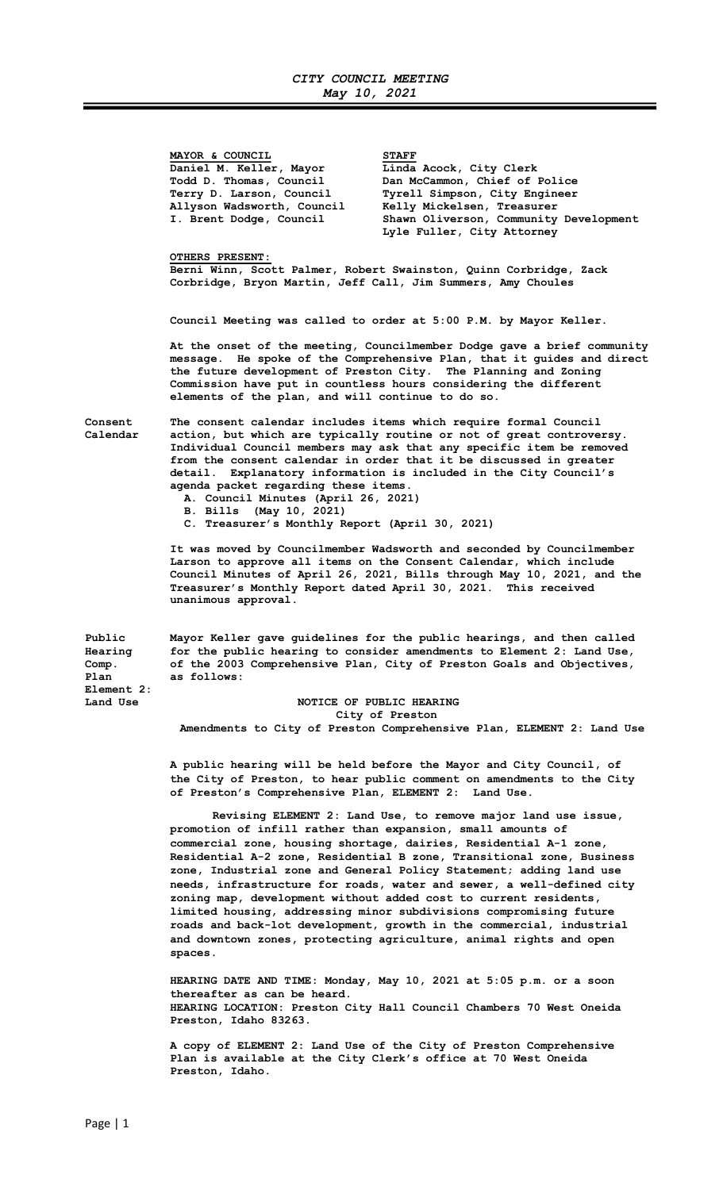MAYOR & COUNCIL STAFF Daniel M. Keller, Mayor Linda Acock, City Clerk

 Todd D. Thomas, Council Dan McCammon, Chief of Police Terry D. Larson, Council Tyrell Simpson, City Engineer<br>Allyson Wadsworth, Council Kelly Mickelsen, Treasurer Allyson Wadsworth, Council Kelly Mickelsen, Treasurer<br>I. Brent Dodge, Council Shawn Oliverson, Community Shawn Oliverson, Community Development Lyle Fuller, City Attorney

#### OTHERS PRESENT:

Berni Winn, Scott Palmer, Robert Swainston, Quinn Corbridge, Zack Corbridge, Bryon Martin, Jeff Call, Jim Summers, Amy Choules

Council Meeting was called to order at 5:00 P.M. by Mayor Keller.

At the onset of the meeting, Councilmember Dodge gave a brief community message. He spoke of the Comprehensive Plan, that it guides and direct the future development of Preston City. The Planning and Zoning Commission have put in countless hours considering the different elements of the plan, and will continue to do so.

Consent The consent calendar includes items which require formal Council Calendar action, but which are typically routine or not of great controversy. Individual Council members may ask that any specific item be removed from the consent calendar in order that it be discussed in greater detail. Explanatory information is included in the City Council's agenda packet regarding these items.

- A. Council Minutes (April 26, 2021)
- B. Bills (May 10, 2021)
- C. Treasurer's Monthly Report (April 30, 2021)

 It was moved by Councilmember Wadsworth and seconded by Councilmember Larson to approve all items on the Consent Calendar, which include Council Minutes of April 26, 2021, Bills through May 10, 2021, and the Treasurer's Monthly Report dated April 30, 2021. This received unanimous approval.

Public Mayor Keller gave guidelines for the public hearings, and then called Hearing for the public hearing to consider amendments to Element 2: Land Use, for the public hearing to consider amendments to Element 2: Land Use, Comp. of the 2003 Comprehensive Plan, City of Preston Goals and Objectives, Plan as follows: Element 2: Land Use **NOTICE OF PUBLIC HEARING** 

# City of Preston

Amendments to City of Preston Comprehensive Plan, ELEMENT 2: Land Use

 A public hearing will be held before the Mayor and City Council, of the City of Preston, to hear public comment on amendments to the City of Preston's Comprehensive Plan, ELEMENT 2: Land Use.

 Revising ELEMENT 2: Land Use, to remove major land use issue, promotion of infill rather than expansion, small amounts of commercial zone, housing shortage, dairies, Residential A-1 zone, Residential A-2 zone, Residential B zone, Transitional zone, Business zone, Industrial zone and General Policy Statement; adding land use needs, infrastructure for roads, water and sewer, a well-defined city zoning map, development without added cost to current residents, limited housing, addressing minor subdivisions compromising future roads and back-lot development, growth in the commercial, industrial and downtown zones, protecting agriculture, animal rights and open spaces.

 HEARING DATE AND TIME: Monday, May 10, 2021 at 5:05 p.m. or a soon thereafter as can be heard. HEARING LOCATION: Preston City Hall Council Chambers 70 West Oneida Preston, Idaho 83263.

 A copy of ELEMENT 2: Land Use of the City of Preston Comprehensive Plan is available at the City Clerk's office at 70 West Oneida Preston, Idaho.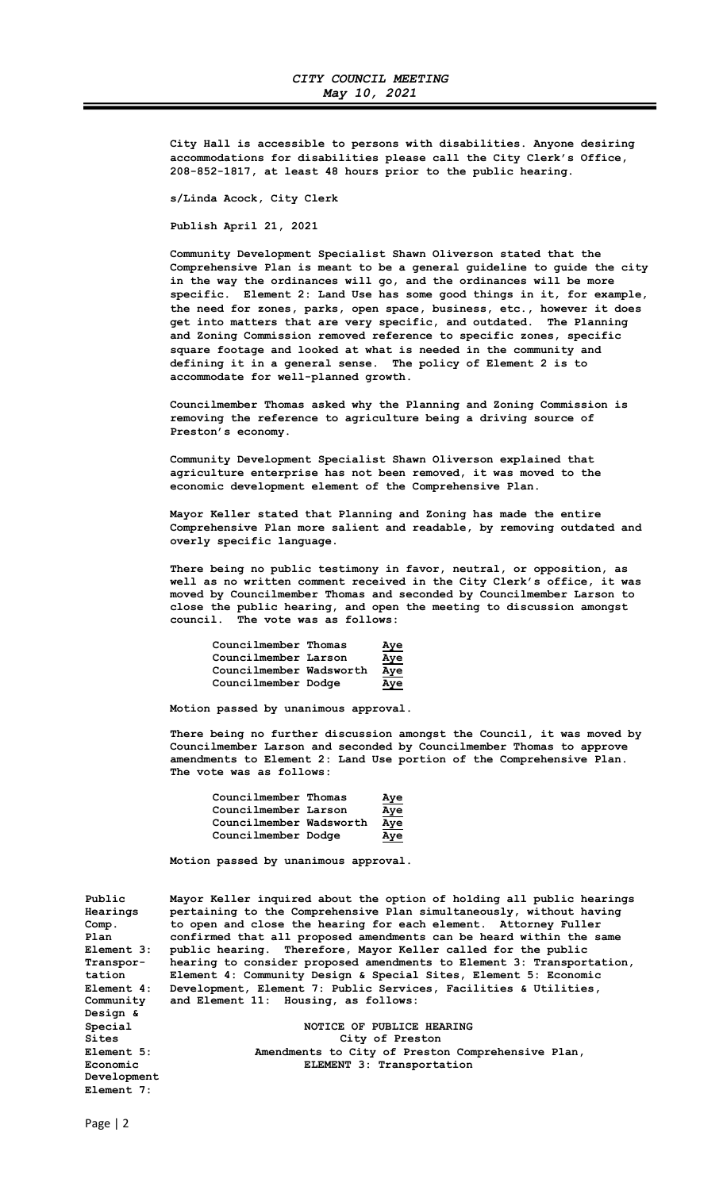City Hall is accessible to persons with disabilities. Anyone desiring accommodations for disabilities please call the City Clerk's Office, 208-852-1817, at least 48 hours prior to the public hearing.

s/Linda Acock, City Clerk

Publish April 21, 2021

 Community Development Specialist Shawn Oliverson stated that the Comprehensive Plan is meant to be a general guideline to guide the city in the way the ordinances will go, and the ordinances will be more specific. Element 2: Land Use has some good things in it, for example, the need for zones, parks, open space, business, etc., however it does get into matters that are very specific, and outdated. The Planning and Zoning Commission removed reference to specific zones, specific square footage and looked at what is needed in the community and defining it in a general sense. The policy of Element 2 is to accommodate for well-planned growth.

 Councilmember Thomas asked why the Planning and Zoning Commission is removing the reference to agriculture being a driving source of Preston's economy.

 Community Development Specialist Shawn Oliverson explained that agriculture enterprise has not been removed, it was moved to the economic development element of the Comprehensive Plan.

 Mayor Keller stated that Planning and Zoning has made the entire Comprehensive Plan more salient and readable, by removing outdated and overly specific language.

 There being no public testimony in favor, neutral, or opposition, as well as no written comment received in the City Clerk's office, it was moved by Councilmember Thomas and seconded by Councilmember Larson to close the public hearing, and open the meeting to discussion amongst council. The vote was as follows:

| Councilmember Thomas    | <u>Aye</u> |
|-------------------------|------------|
| Councilmember Larson    | <u>Aye</u> |
| Councilmember Wadsworth | Aye        |
| Councilmember Dodge     | Aye        |

Motion passed by unanimous approval.

 There being no further discussion amongst the Council, it was moved by Councilmember Larson and seconded by Councilmember Thomas to approve amendments to Element 2: Land Use portion of the Comprehensive Plan. The vote was as follows:

| Councilmember Thomas    | <u>Aye</u> |
|-------------------------|------------|
| Councilmember Larson    | <u>Aye</u> |
| Councilmember Wadsworth | Aye        |
| Councilmember Dodge     | Aye        |

Motion passed by unanimous approval.

| Public       | Mayor Keller inquired about the option of holding all public hearings |
|--------------|-----------------------------------------------------------------------|
| Hearings     | pertaining to the Comprehensive Plan simultaneously, without having   |
| Comp.        | to open and close the hearing for each element. Attorney Fuller       |
| Plan         | confirmed that all proposed amendments can be heard within the same   |
| Element 3:   | public hearing. Therefore, Mayor Keller called for the public         |
| Transpor-    | hearing to consider proposed amendments to Element 3: Transportation, |
| tation       | Element 4: Community Design & Special Sites, Element 5: Economic      |
| Element 4:   | Development, Element 7: Public Services, Facilities & Utilities,      |
| Community    | and Element 11: Housing, as follows:                                  |
| Design &     |                                                                       |
| Special      | NOTICE OF PUBLICE HEARING                                             |
| <b>Sites</b> | City of Preston                                                       |
| Element 5:   | Amendments to City of Preston Comprehensive Plan,                     |
| Economic     | ELEMENT 3: Transportation                                             |
| Development  |                                                                       |
| Element 7:   |                                                                       |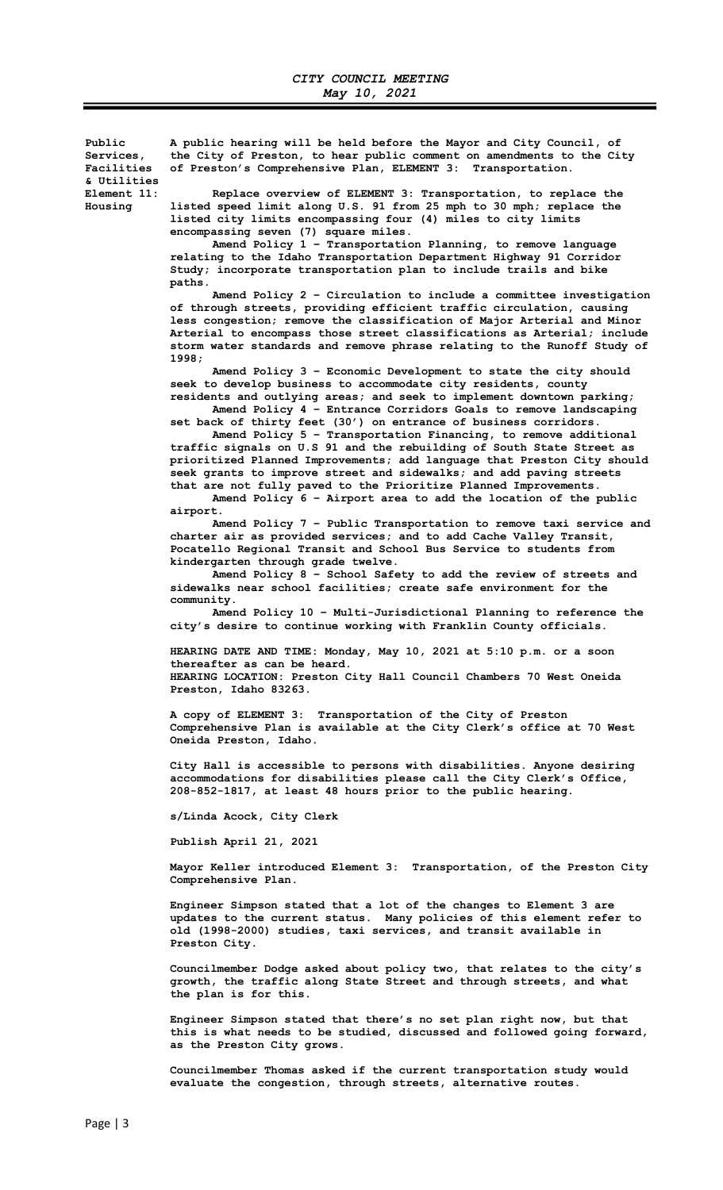Public A public hearing will be held before the Mayor and City Council, of Services, the City of Preston, to hear public comment on amendments to the City<br>Facilities of Preston's Comprehensive Plan, ELEMENT 3: Transportation. of Preston's Comprehensive Plan, ELEMENT 3: Transportation. & Utilities Element 11: Replace overview of ELEMENT 3: Transportation, to replace the<br>Housing listed speed limit along U.S. 91 from 25 mph to 30 mph; replace the listed speed limit along U.S. 91 from 25 mph to 30 mph; replace the listed city limits encompassing four (4) miles to city limits encompassing seven (7) square miles.

 Amend Policy 1 – Transportation Planning, to remove language relating to the Idaho Transportation Department Highway 91 Corridor Study; incorporate transportation plan to include trails and bike paths.

 Amend Policy 2 – Circulation to include a committee investigation of through streets, providing efficient traffic circulation, causing less congestion; remove the classification of Major Arterial and Minor Arterial to encompass those street classifications as Arterial; include storm water standards and remove phrase relating to the Runoff Study of 1998;

 Amend Policy 3 – Economic Development to state the city should seek to develop business to accommodate city residents, county residents and outlying areas; and seek to implement downtown parking;

 Amend Policy 4 – Entrance Corridors Goals to remove landscaping set back of thirty feet (30') on entrance of business corridors.

 Amend Policy 5 – Transportation Financing, to remove additional traffic signals on U.S 91 and the rebuilding of South State Street as prioritized Planned Improvements; add language that Preston City should seek grants to improve street and sidewalks; and add paving streets that are not fully paved to the Prioritize Planned Improvements. Amend Policy 6 – Airport area to add the location of the public

airport.

 Amend Policy 7 – Public Transportation to remove taxi service and charter air as provided services; and to add Cache Valley Transit, Pocatello Regional Transit and School Bus Service to students from kindergarten through grade twelve.

 Amend Policy 8 – School Safety to add the review of streets and sidewalks near school facilities; create safe environment for the community.

 Amend Policy 10 – Multi-Jurisdictional Planning to reference the city's desire to continue working with Franklin County officials.

 HEARING DATE AND TIME: Monday, May 10, 2021 at 5:10 p.m. or a soon thereafter as can be heard. HEARING LOCATION: Preston City Hall Council Chambers 70 West Oneida Preston, Idaho 83263.

 A copy of ELEMENT 3: Transportation of the City of Preston Comprehensive Plan is available at the City Clerk's office at 70 West Oneida Preston, Idaho.

> City Hall is accessible to persons with disabilities. Anyone desiring accommodations for disabilities please call the City Clerk's Office, 208-852-1817, at least 48 hours prior to the public hearing.

s/Linda Acock, City Clerk

Publish April 21, 2021

 Mayor Keller introduced Element 3: Transportation, of the Preston City Comprehensive Plan.

 Engineer Simpson stated that a lot of the changes to Element 3 are updates to the current status. Many policies of this element refer to old (1998-2000) studies, taxi services, and transit available in Preston City.

 Councilmember Dodge asked about policy two, that relates to the city's growth, the traffic along State Street and through streets, and what the plan is for this.

> Engineer Simpson stated that there's no set plan right now, but that this is what needs to be studied, discussed and followed going forward, as the Preston City grows.

 Councilmember Thomas asked if the current transportation study would evaluate the congestion, through streets, alternative routes.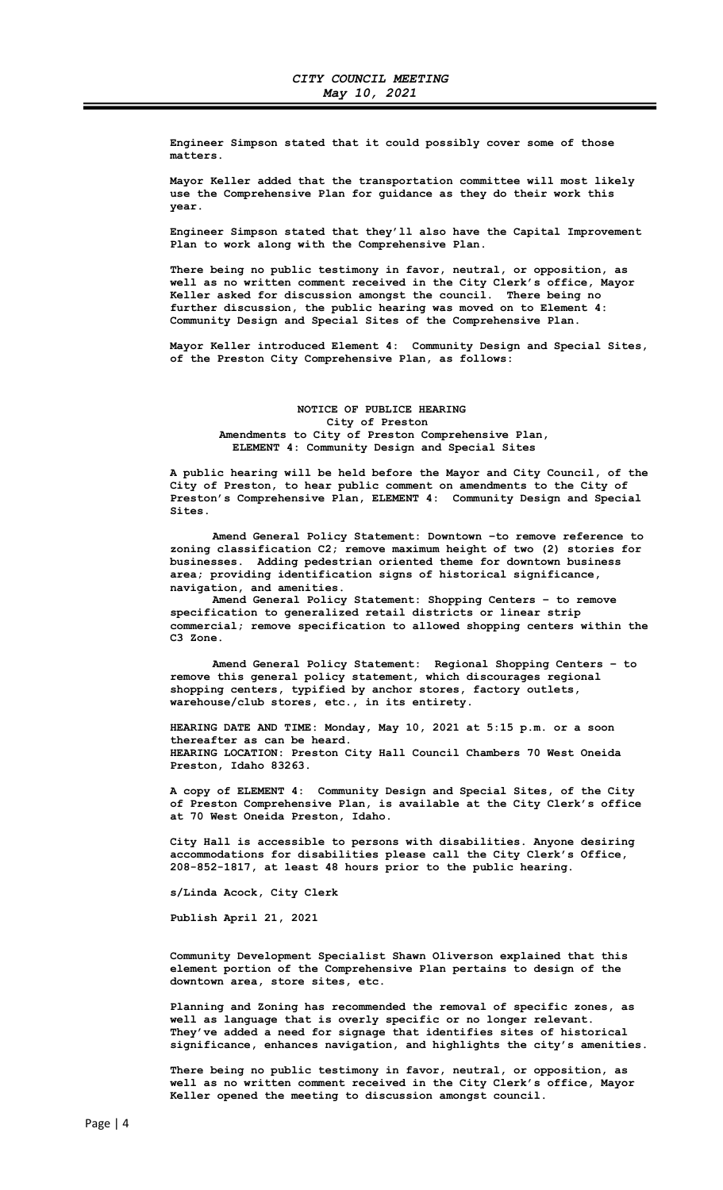Engineer Simpson stated that it could possibly cover some of those matters.

 Mayor Keller added that the transportation committee will most likely use the Comprehensive Plan for guidance as they do their work this year.

 Engineer Simpson stated that they'll also have the Capital Improvement Plan to work along with the Comprehensive Plan.

 There being no public testimony in favor, neutral, or opposition, as well as no written comment received in the City Clerk's office, Mayor Keller asked for discussion amongst the council. There being no further discussion, the public hearing was moved on to Element 4: Community Design and Special Sites of the Comprehensive Plan.

 Mayor Keller introduced Element 4: Community Design and Special Sites, of the Preston City Comprehensive Plan, as follows:

## NOTICE OF PUBLICE HEARING City of Preston Amendments to City of Preston Comprehensive Plan, ELEMENT 4: Community Design and Special Sites

 A public hearing will be held before the Mayor and City Council, of the City of Preston, to hear public comment on amendments to the City of Preston's Comprehensive Plan, ELEMENT 4: Community Design and Special Sites.

 Amend General Policy Statement: Downtown –to remove reference to zoning classification C2; remove maximum height of two (2) stories for businesses. Adding pedestrian oriented theme for downtown business area; providing identification signs of historical significance, navigation, and amenities.

 Amend General Policy Statement: Shopping Centers – to remove specification to generalized retail districts or linear strip commercial; remove specification to allowed shopping centers within the C3 Zone.

 Amend General Policy Statement: Regional Shopping Centers – to remove this general policy statement, which discourages regional shopping centers, typified by anchor stores, factory outlets, warehouse/club stores, etc., in its entirety.

 HEARING DATE AND TIME: Monday, May 10, 2021 at 5:15 p.m. or a soon thereafter as can be heard. HEARING LOCATION: Preston City Hall Council Chambers 70 West Oneida Preston, Idaho 83263.

 A copy of ELEMENT 4: Community Design and Special Sites, of the City of Preston Comprehensive Plan, is available at the City Clerk's office at 70 West Oneida Preston, Idaho.

 City Hall is accessible to persons with disabilities. Anyone desiring accommodations for disabilities please call the City Clerk's Office, 208-852-1817, at least 48 hours prior to the public hearing.

s/Linda Acock, City Clerk

Publish April 21, 2021

 Community Development Specialist Shawn Oliverson explained that this element portion of the Comprehensive Plan pertains to design of the downtown area, store sites, etc.

 Planning and Zoning has recommended the removal of specific zones, as well as language that is overly specific or no longer relevant. They've added a need for signage that identifies sites of historical significance, enhances navigation, and highlights the city's amenities.

 There being no public testimony in favor, neutral, or opposition, as well as no written comment received in the City Clerk's office, Mayor Keller opened the meeting to discussion amongst council.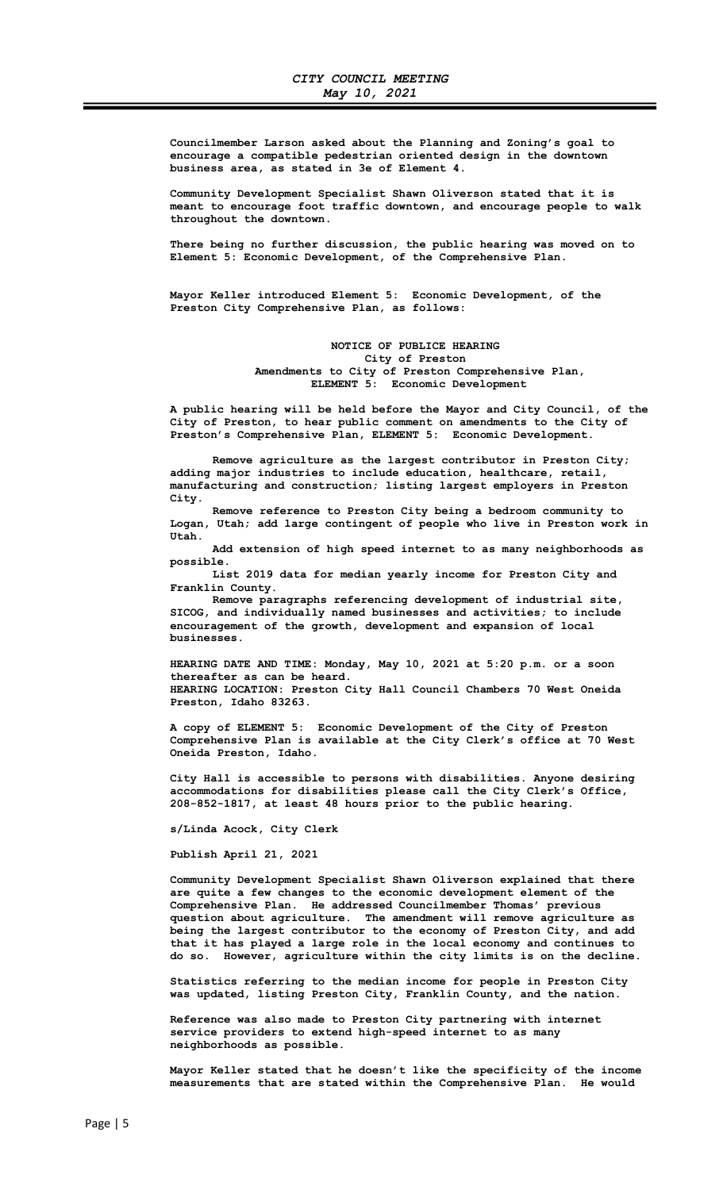Councilmember Larson asked about the Planning and Zoning's goal to encourage a compatible pedestrian oriented design in the downtown business area, as stated in 3e of Element 4.

 Community Development Specialist Shawn Oliverson stated that it is meant to encourage foot traffic downtown, and encourage people to walk throughout the downtown.

 There being no further discussion, the public hearing was moved on to Element 5: Economic Development, of the Comprehensive Plan.

 Mayor Keller introduced Element 5: Economic Development, of the Preston City Comprehensive Plan, as follows:

> NOTICE OF PUBLICE HEARING City of Preston Amendments to City of Preston Comprehensive Plan, ELEMENT 5: Economic Development

 A public hearing will be held before the Mayor and City Council, of the City of Preston, to hear public comment on amendments to the City of Preston's Comprehensive Plan, ELEMENT 5: Economic Development.

 Remove agriculture as the largest contributor in Preston City; adding major industries to include education, healthcare, retail, manufacturing and construction; listing largest employers in Preston City.

 Remove reference to Preston City being a bedroom community to Logan, Utah; add large contingent of people who live in Preston work in Utah.

 Add extension of high speed internet to as many neighborhoods as possible.

 List 2019 data for median yearly income for Preston City and Franklin County.

 Remove paragraphs referencing development of industrial site, SICOG, and individually named businesses and activities; to include encouragement of the growth, development and expansion of local businesses.

 HEARING DATE AND TIME: Monday, May 10, 2021 at 5:20 p.m. or a soon thereafter as can be heard. HEARING LOCATION: Preston City Hall Council Chambers 70 West Oneida Preston, Idaho 83263.

 A copy of ELEMENT 5: Economic Development of the City of Preston Comprehensive Plan is available at the City Clerk's office at 70 West Oneida Preston, Idaho.

 City Hall is accessible to persons with disabilities. Anyone desiring accommodations for disabilities please call the City Clerk's Office, 208-852-1817, at least 48 hours prior to the public hearing.

s/Linda Acock, City Clerk

Publish April 21, 2021

 Community Development Specialist Shawn Oliverson explained that there are quite a few changes to the economic development element of the Comprehensive Plan. He addressed Councilmember Thomas' previous question about agriculture. The amendment will remove agriculture as being the largest contributor to the economy of Preston City, and add that it has played a large role in the local economy and continues to do so. However, agriculture within the city limits is on the decline.

 Statistics referring to the median income for people in Preston City was updated, listing Preston City, Franklin County, and the nation.

 Reference was also made to Preston City partnering with internet service providers to extend high-speed internet to as many neighborhoods as possible.

 Mayor Keller stated that he doesn't like the specificity of the income measurements that are stated within the Comprehensive Plan. He would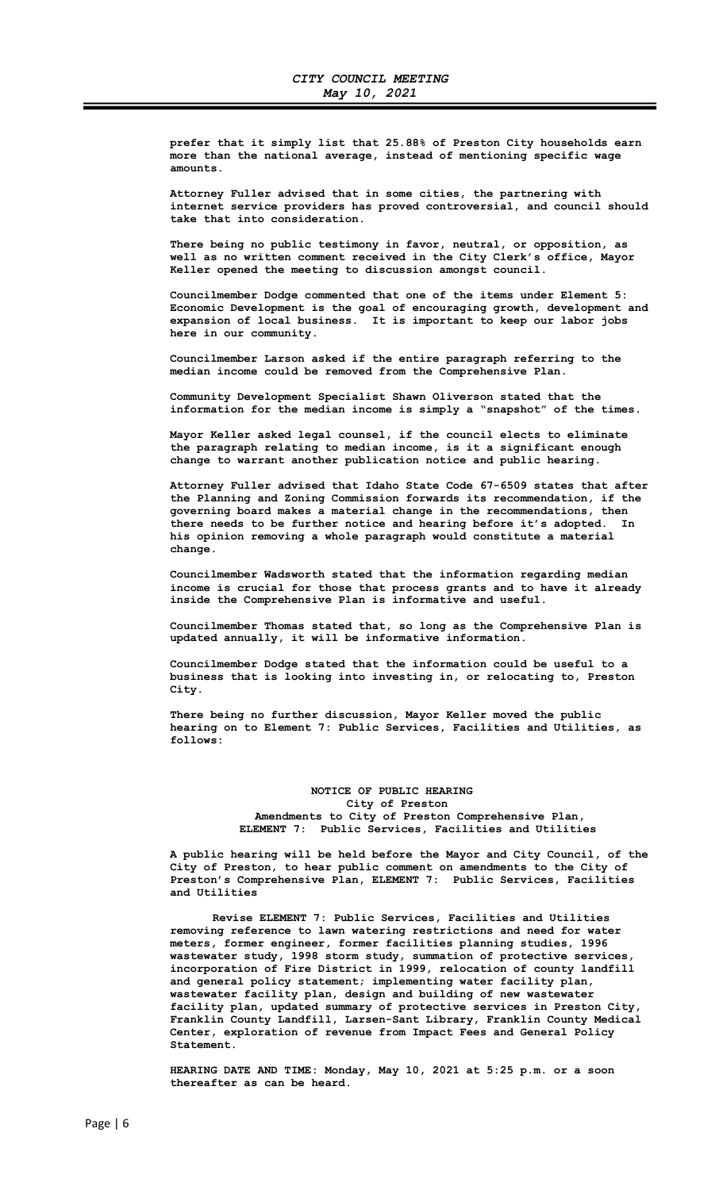prefer that it simply list that 25.88% of Preston City households earn more than the national average, instead of mentioning specific wage amounts.

 Attorney Fuller advised that in some cities, the partnering with internet service providers has proved controversial, and council should take that into consideration.

 There being no public testimony in favor, neutral, or opposition, as well as no written comment received in the City Clerk's office, Mayor Keller opened the meeting to discussion amongst council.

 Councilmember Dodge commented that one of the items under Element 5: Economic Development is the goal of encouraging growth, development and expansion of local business. It is important to keep our labor jobs here in our community.

 Councilmember Larson asked if the entire paragraph referring to the median income could be removed from the Comprehensive Plan.

 Community Development Specialist Shawn Oliverson stated that the information for the median income is simply a "snapshot" of the times.

 Mayor Keller asked legal counsel, if the council elects to eliminate the paragraph relating to median income, is it a significant enough change to warrant another publication notice and public hearing.

 Attorney Fuller advised that Idaho State Code 67-6509 states that after the Planning and Zoning Commission forwards its recommendation, if the governing board makes a material change in the recommendations, then there needs to be further notice and hearing before it's adopted. In his opinion removing a whole paragraph would constitute a material change.

 Councilmember Wadsworth stated that the information regarding median income is crucial for those that process grants and to have it already inside the Comprehensive Plan is informative and useful.

 Councilmember Thomas stated that, so long as the Comprehensive Plan is updated annually, it will be informative information.

 Councilmember Dodge stated that the information could be useful to a business that is looking into investing in, or relocating to, Preston City.

 There being no further discussion, Mayor Keller moved the public hearing on to Element 7: Public Services, Facilities and Utilities, as follows:

## NOTICE OF PUBLIC HEARING City of Preston Amendments to City of Preston Comprehensive Plan, ELEMENT 7: Public Services, Facilities and Utilities

 A public hearing will be held before the Mayor and City Council, of the City of Preston, to hear public comment on amendments to the City of Preston's Comprehensive Plan, ELEMENT 7: Public Services, Facilities and Utilities

 Revise ELEMENT 7: Public Services, Facilities and Utilities removing reference to lawn watering restrictions and need for water meters, former engineer, former facilities planning studies, 1996 wastewater study, 1998 storm study, summation of protective services, incorporation of Fire District in 1999, relocation of county landfill and general policy statement; implementing water facility plan, wastewater facility plan, design and building of new wastewater facility plan, updated summary of protective services in Preston City, Franklin County Landfill, Larsen-Sant Library, Franklin County Medical Center, exploration of revenue from Impact Fees and General Policy Statement.

 HEARING DATE AND TIME: Monday, May 10, 2021 at 5:25 p.m. or a soon thereafter as can be heard.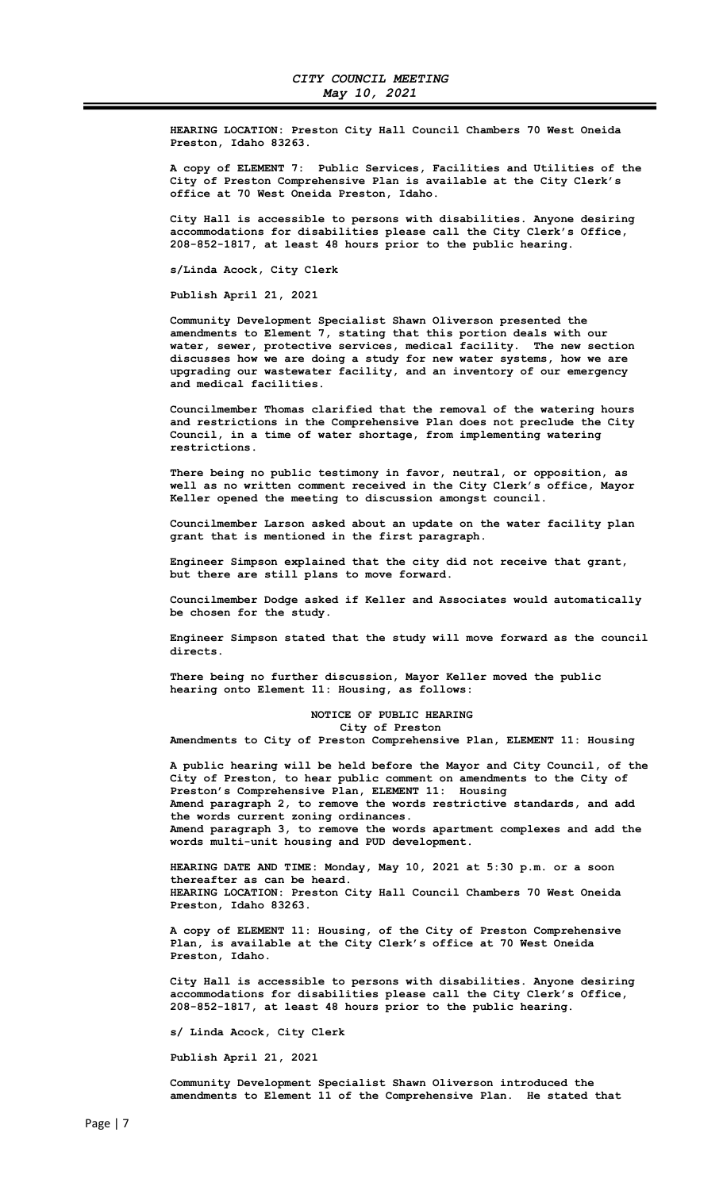HEARING LOCATION: Preston City Hall Council Chambers 70 West Oneida Preston, Idaho 83263.

 A copy of ELEMENT 7: Public Services, Facilities and Utilities of the City of Preston Comprehensive Plan is available at the City Clerk's office at 70 West Oneida Preston, Idaho.

 City Hall is accessible to persons with disabilities. Anyone desiring accommodations for disabilities please call the City Clerk's Office, 208-852-1817, at least 48 hours prior to the public hearing.

s/Linda Acock, City Clerk

Publish April 21, 2021

 Community Development Specialist Shawn Oliverson presented the amendments to Element 7, stating that this portion deals with our water, sewer, protective services, medical facility. The new section discusses how we are doing a study for new water systems, how we are upgrading our wastewater facility, and an inventory of our emergency and medical facilities.

 Councilmember Thomas clarified that the removal of the watering hours and restrictions in the Comprehensive Plan does not preclude the City Council, in a time of water shortage, from implementing watering restrictions.

 There being no public testimony in favor, neutral, or opposition, as well as no written comment received in the City Clerk's office, Mayor Keller opened the meeting to discussion amongst council.

 Councilmember Larson asked about an update on the water facility plan grant that is mentioned in the first paragraph.

 Engineer Simpson explained that the city did not receive that grant, but there are still plans to move forward.

 Councilmember Dodge asked if Keller and Associates would automatically be chosen for the study.

 Engineer Simpson stated that the study will move forward as the council directs.

 There being no further discussion, Mayor Keller moved the public hearing onto Element 11: Housing, as follows:

### NOTICE OF PUBLIC HEARING City of Preston

Amendments to City of Preston Comprehensive Plan, ELEMENT 11: Housing

 A public hearing will be held before the Mayor and City Council, of the City of Preston, to hear public comment on amendments to the City of Preston's Comprehensive Plan, ELEMENT 11: Housing Amend paragraph 2, to remove the words restrictive standards, and add the words current zoning ordinances. Amend paragraph 3, to remove the words apartment complexes and add the words multi-unit housing and PUD development.

 HEARING DATE AND TIME: Monday, May 10, 2021 at 5:30 p.m. or a soon thereafter as can be heard. HEARING LOCATION: Preston City Hall Council Chambers 70 West Oneida Preston, Idaho 83263.

 A copy of ELEMENT 11: Housing, of the City of Preston Comprehensive Plan, is available at the City Clerk's office at 70 West Oneida Preston, Idaho.

 City Hall is accessible to persons with disabilities. Anyone desiring accommodations for disabilities please call the City Clerk's Office, 208-852-1817, at least 48 hours prior to the public hearing.

s/ Linda Acock, City Clerk

Publish April 21, 2021

 Community Development Specialist Shawn Oliverson introduced the amendments to Element 11 of the Comprehensive Plan. He stated that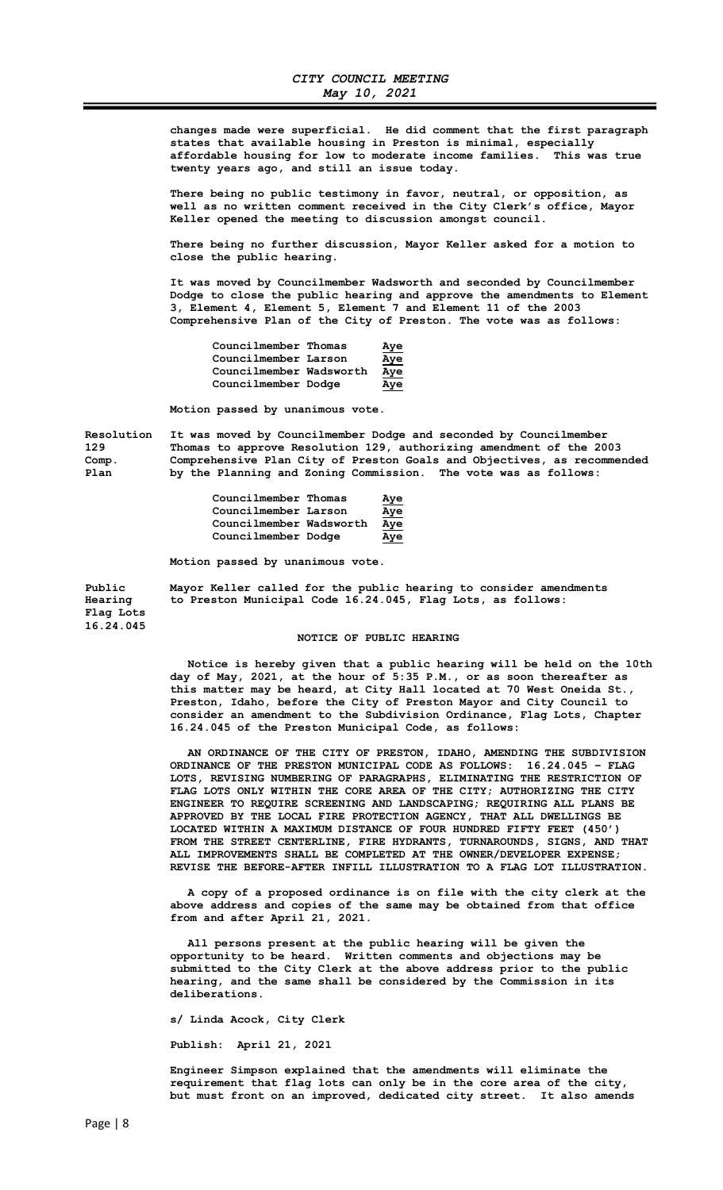changes made were superficial. He did comment that the first paragraph states that available housing in Preston is minimal, especially affordable housing for low to moderate income families. This was true twenty years ago, and still an issue today.

 There being no public testimony in favor, neutral, or opposition, as well as no written comment received in the City Clerk's office, Mayor Keller opened the meeting to discussion amongst council.

 There being no further discussion, Mayor Keller asked for a motion to close the public hearing.

 It was moved by Councilmember Wadsworth and seconded by Councilmember Dodge to close the public hearing and approve the amendments to Element 3, Element 4, Element 5, Element 7 and Element 11 of the 2003 Comprehensive Plan of the City of Preston. The vote was as follows:

| Councilmember Thomas    | <u>Aye</u> |
|-------------------------|------------|
| Councilmember Larson    | <u>Aye</u> |
| Councilmember Wadsworth | <u>Aye</u> |
| Councilmember Dodge     | Aye        |

Motion passed by unanimous vote.

Resolution It was moved by Councilmember Dodge and seconded by Councilmember 129 Thomas to approve Resolution 129, authorizing amendment of the 2003 Comp. Comprehensive Plan City of Preston Goals and Objectives, as recommended<br>Plan by the Planning and Zoning Commission. The vote was as follows: by the Planning and Zoning Commission. The vote was as follows:

| Councilmember Thomas    | <u>Aye</u> |
|-------------------------|------------|
| Councilmember Larson    | <u>Aye</u> |
| Councilmember Wadsworth | Aye        |
| Councilmember Dodge     | Aye        |

Motion passed by unanimous vote.

Public Mayor Keller called for the public hearing to consider amendments Hearing to Preston Municipal Code 16.24.045, Flag Lots, as follows: Flag Lots 16.24.045

#### NOTICE OF PUBLIC HEARING

 Notice is hereby given that a public hearing will be held on the 10th day of May, 2021, at the hour of 5:35 P.M., or as soon thereafter as this matter may be heard, at City Hall located at 70 West Oneida St., Preston, Idaho, before the City of Preston Mayor and City Council to consider an amendment to the Subdivision Ordinance, Flag Lots, Chapter 16.24.045 of the Preston Municipal Code, as follows:

 AN ORDINANCE OF THE CITY OF PRESTON, IDAHO, AMENDING THE SUBDIVISION ORDINANCE OF THE PRESTON MUNICIPAL CODE AS FOLLOWS: 16.24.045 – FLAG LOTS, REVISING NUMBERING OF PARAGRAPHS, ELIMINATING THE RESTRICTION OF FLAG LOTS ONLY WITHIN THE CORE AREA OF THE CITY; AUTHORIZING THE CITY ENGINEER TO REQUIRE SCREENING AND LANDSCAPING; REQUIRING ALL PLANS BE APPROVED BY THE LOCAL FIRE PROTECTION AGENCY, THAT ALL DWELLINGS BE LOCATED WITHIN A MAXIMUM DISTANCE OF FOUR HUNDRED FIFTY FEET (450') FROM THE STREET CENTERLINE, FIRE HYDRANTS, TURNAROUNDS, SIGNS, AND THAT ALL IMPROVEMENTS SHALL BE COMPLETED AT THE OWNER/DEVELOPER EXPENSE; REVISE THE BEFORE-AFTER INFILL ILLUSTRATION TO A FLAG LOT ILLUSTRATION.

 A copy of a proposed ordinance is on file with the city clerk at the above address and copies of the same may be obtained from that office from and after April 21, 2021.

 All persons present at the public hearing will be given the opportunity to be heard. Written comments and objections may be submitted to the City Clerk at the above address prior to the public hearing, and the same shall be considered by the Commission in its deliberations.

s/ Linda Acock, City Clerk

Publish: April 21, 2021

 Engineer Simpson explained that the amendments will eliminate the requirement that flag lots can only be in the core area of the city, but must front on an improved, dedicated city street. It also amends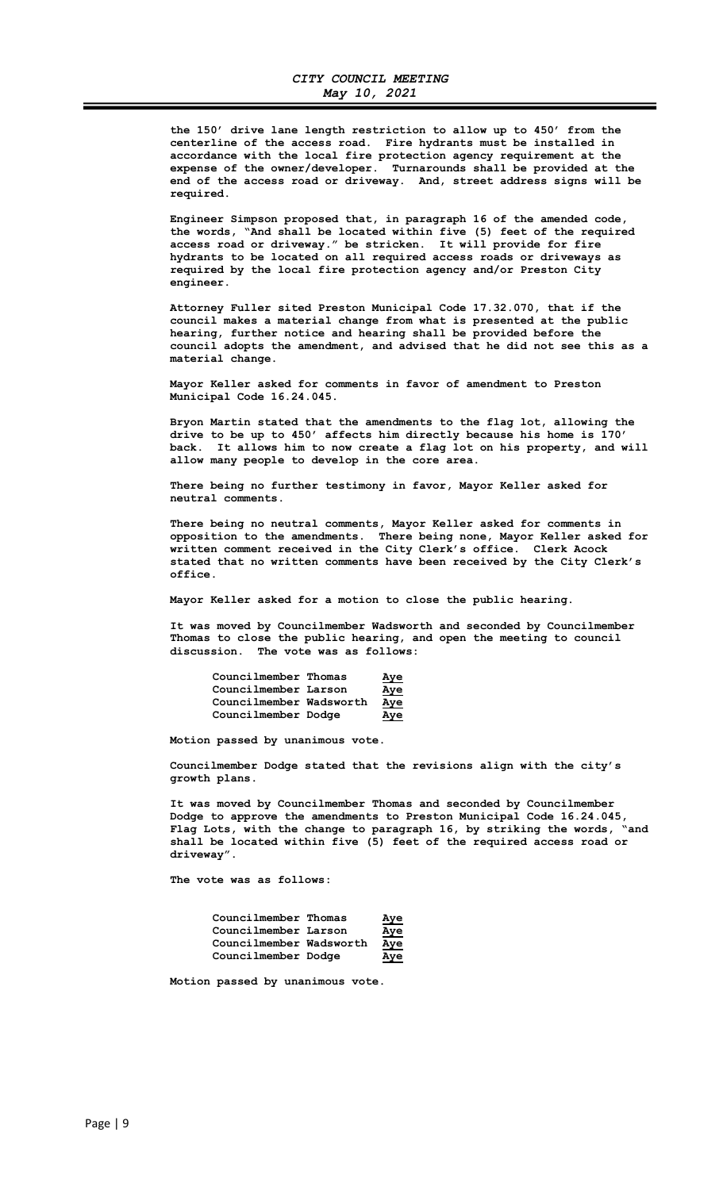the 150' drive lane length restriction to allow up to 450' from the centerline of the access road. Fire hydrants must be installed in accordance with the local fire protection agency requirement at the expense of the owner/developer. Turnarounds shall be provided at the end of the access road or driveway. And, street address signs will be required.

 Engineer Simpson proposed that, in paragraph 16 of the amended code, the words, "And shall be located within five (5) feet of the required access road or driveway." be stricken. It will provide for fire hydrants to be located on all required access roads or driveways as required by the local fire protection agency and/or Preston City engineer.

 Attorney Fuller sited Preston Municipal Code 17.32.070, that if the council makes a material change from what is presented at the public hearing, further notice and hearing shall be provided before the council adopts the amendment, and advised that he did not see this as a material change.

 Mayor Keller asked for comments in favor of amendment to Preston Municipal Code 16.24.045.

 Bryon Martin stated that the amendments to the flag lot, allowing the drive to be up to 450' affects him directly because his home is 170' back. It allows him to now create a flag lot on his property, and will allow many people to develop in the core area.

 There being no further testimony in favor, Mayor Keller asked for neutral comments.

 There being no neutral comments, Mayor Keller asked for comments in opposition to the amendments. There being none, Mayor Keller asked for written comment received in the City Clerk's office. Clerk Acock stated that no written comments have been received by the City Clerk's office.

Mayor Keller asked for a motion to close the public hearing.

 It was moved by Councilmember Wadsworth and seconded by Councilmember Thomas to close the public hearing, and open the meeting to council discussion. The vote was as follows:

| Councilmember Thomas    | <u>Aye</u> |
|-------------------------|------------|
| Councilmember Larson    | <u>Aye</u> |
| Councilmember Wadsworth | <u>Aye</u> |
| Councilmember Dodge     | <u>Aye</u> |

Motion passed by unanimous vote.

 Councilmember Dodge stated that the revisions align with the city's growth plans.

 It was moved by Councilmember Thomas and seconded by Councilmember Dodge to approve the amendments to Preston Municipal Code 16.24.045, Flag Lots, with the change to paragraph 16, by striking the words, "and shall be located within five (5) feet of the required access road or driveway".

The vote was as follows:

| Councilmember Thomas    | <u>Aye</u> |
|-------------------------|------------|
| Councilmember Larson    | <u>Aye</u> |
| Councilmember Wadsworth | Aye        |
| Councilmember Dodge     | Aye        |

Motion passed by unanimous vote.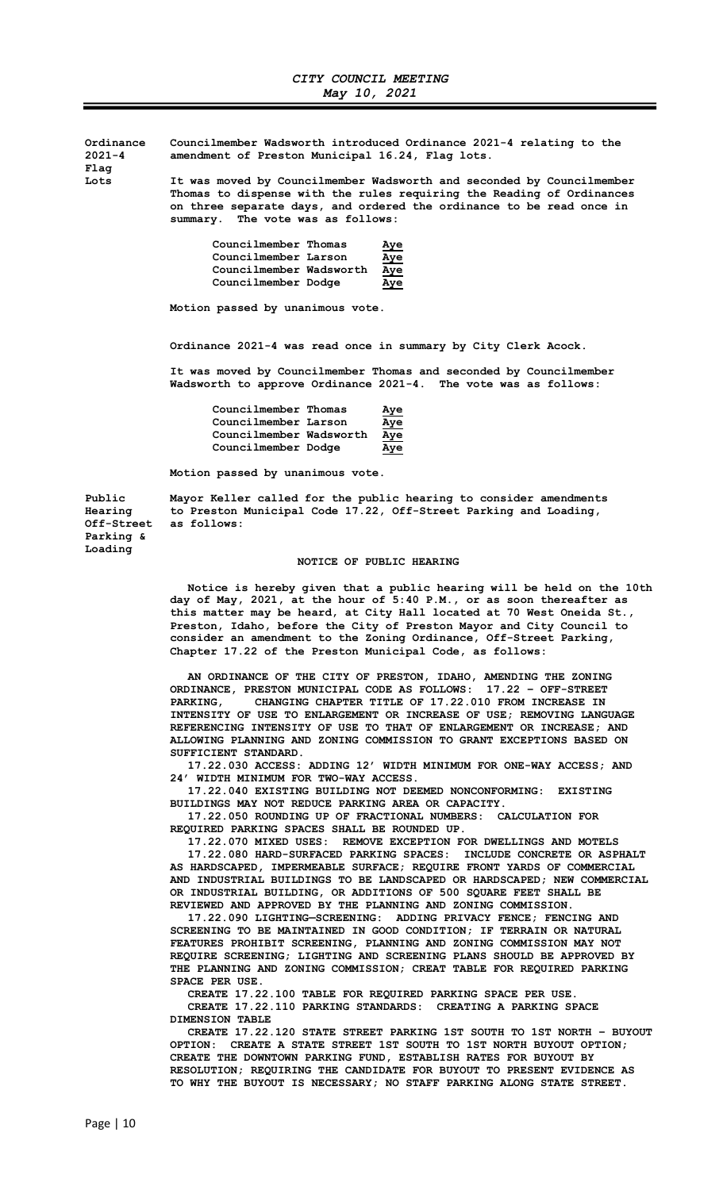Ordinance Councilmember Wadsworth introduced Ordinance 2021-4 relating to the 2021-4 amendment of Preston Municipal 16.24, Flag lots.

Flag

Lots It was moved by Councilmember Wadsworth and seconded by Councilmember Thomas to dispense with the rules requiring the Reading of Ordinances on three separate days, and ordered the ordinance to be read once in summary. The vote was as follows:

| Councilmember Thomas    | <u>Aye</u> |
|-------------------------|------------|
| Councilmember Larson    | <u>Aye</u> |
| Councilmember Wadsworth | <u>Aye</u> |
| Councilmember Dodge     | Aye        |

Motion passed by unanimous vote.

Ordinance 2021-4 was read once in summary by City Clerk Acock.

 It was moved by Councilmember Thomas and seconded by Councilmember Wadsworth to approve Ordinance 2021-4. The vote was as follows:

| Councilmember Thomas    | <u>Aye</u> |
|-------------------------|------------|
| Councilmember Larson    | <u>Aye</u> |
| Councilmember Wadsworth | <u>Aye</u> |
| Councilmember Dodge     | Aye        |

Motion passed by unanimous vote.

Parking & Loading

Public Mayor Keller called for the public hearing to consider amendments Hearing to Preston Municipal Code 17.22, Off-Street Parking and Loading, as follows:

#### NOTICE OF PUBLIC HEARING

 Notice is hereby given that a public hearing will be held on the 10th day of May, 2021, at the hour of 5:40 P.M., or as soon thereafter as this matter may be heard, at City Hall located at 70 West Oneida St., Preston, Idaho, before the City of Preston Mayor and City Council to consider an amendment to the Zoning Ordinance, Off-Street Parking, Chapter 17.22 of the Preston Municipal Code, as follows:

> AN ORDINANCE OF THE CITY OF PRESTON, IDAHO, AMENDING THE ZONING ORDINANCE, PRESTON MUNICIPAL CODE AS FOLLOWS: 17.22 – OFF-STREET PARKING, CHANGING CHAPTER TITLE OF 17.22.010 FROM INCREASE IN INTENSITY OF USE TO ENLARGEMENT OR INCREASE OF USE; REMOVING LANGUAGE REFERENCING INTENSITY OF USE TO THAT OF ENLARGEMENT OR INCREASE; AND ALLOWING PLANNING AND ZONING COMMISSION TO GRANT EXCEPTIONS BASED ON SUFFICIENT STANDARD.

> 17.22.030 ACCESS: ADDING 12' WIDTH MINIMUM FOR ONE-WAY ACCESS; AND 24' WIDTH MINIMUM FOR TWO-WAY ACCESS.

 17.22.040 EXISTING BUILDING NOT DEEMED NONCONFORMING: EXISTING BUILDINGS MAY NOT REDUCE PARKING AREA OR CAPACITY.

 17.22.050 ROUNDING UP OF FRACTIONAL NUMBERS: CALCULATION FOR REQUIRED PARKING SPACES SHALL BE ROUNDED UP.

 17.22.070 MIXED USES: REMOVE EXCEPTION FOR DWELLINGS AND MOTELS 17.22.080 HARD-SURFACED PARKING SPACES: INCLUDE CONCRETE OR ASPHALT AS HARDSCAPED, IMPERMEABLE SURFACE; REQUIRE FRONT YARDS OF COMMERCIAL AND INDUSTRIAL BUILDINGS TO BE LANDSCAPED OR HARDSCAPED; NEW COMMERCIAL OR INDUSTRIAL BUILDING, OR ADDITIONS OF 500 SQUARE FEET SHALL BE REVIEWED AND APPROVED BY THE PLANNING AND ZONING COMMISSION.

 17.22.090 LIGHTING—SCREENING: ADDING PRIVACY FENCE; FENCING AND SCREENING TO BE MAINTAINED IN GOOD CONDITION; IF TERRAIN OR NATURAL FEATURES PROHIBIT SCREENING, PLANNING AND ZONING COMMISSION MAY NOT REQUIRE SCREENING; LIGHTING AND SCREENING PLANS SHOULD BE APPROVED BY THE PLANNING AND ZONING COMMISSION; CREAT TABLE FOR REQUIRED PARKING SPACE PER USE.

CREATE 17.22.100 TABLE FOR REQUIRED PARKING SPACE PER USE.

 CREATE 17.22.110 PARKING STANDARDS: CREATING A PARKING SPACE DIMENSION TABLE

 CREATE 17.22.120 STATE STREET PARKING 1ST SOUTH TO 1ST NORTH – BUYOUT OPTION: CREATE A STATE STREET 1ST SOUTH TO 1ST NORTH BUYOUT OPTION; CREATE THE DOWNTOWN PARKING FUND, ESTABLISH RATES FOR BUYOUT BY RESOLUTION; REQUIRING THE CANDIDATE FOR BUYOUT TO PRESENT EVIDENCE AS TO WHY THE BUYOUT IS NECESSARY; NO STAFF PARKING ALONG STATE STREET.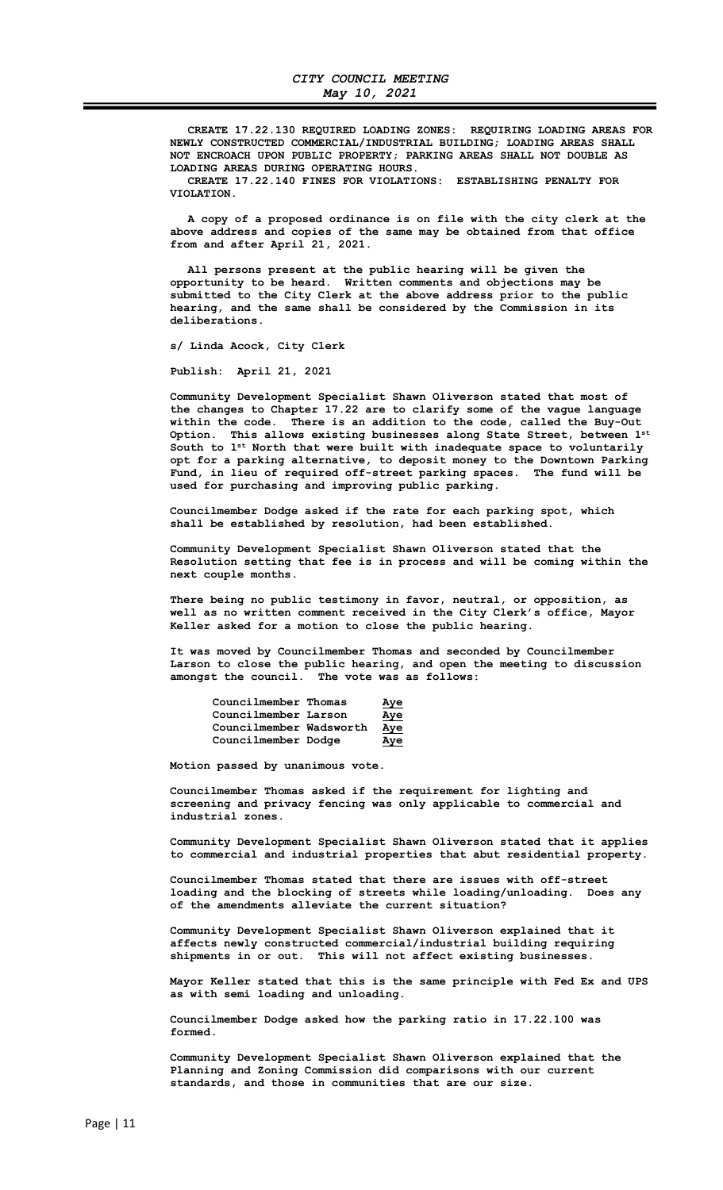CREATE 17.22.130 REQUIRED LOADING ZONES: REQUIRING LOADING AREAS FOR NEWLY CONSTRUCTED COMMERCIAL/INDUSTRIAL BUILDING; LOADING AREAS SHALL NOT ENCROACH UPON PUBLIC PROPERTY; PARKING AREAS SHALL NOT DOUBLE AS LOADING AREAS DURING OPERATING HOURS.

 CREATE 17.22.140 FINES FOR VIOLATIONS: ESTABLISHING PENALTY FOR VIOLATION.

 A copy of a proposed ordinance is on file with the city clerk at the above address and copies of the same may be obtained from that office from and after April 21, 2021.

 All persons present at the public hearing will be given the opportunity to be heard. Written comments and objections may be submitted to the City Clerk at the above address prior to the public hearing, and the same shall be considered by the Commission in its deliberations.

s/ Linda Acock, City Clerk

Publish: April 21, 2021

 Community Development Specialist Shawn Oliverson stated that most of the changes to Chapter 17.22 are to clarify some of the vague language within the code. There is an addition to the code, called the Buy-Out Option. This allows existing businesses along State Street, between 1st South to  $1^{st}$  North that were built with inadequate space to voluntarily opt for a parking alternative, to deposit money to the Downtown Parking Fund, in lieu of required off-street parking spaces. The fund will be used for purchasing and improving public parking.

 Councilmember Dodge asked if the rate for each parking spot, which shall be established by resolution, had been established.

 Community Development Specialist Shawn Oliverson stated that the Resolution setting that fee is in process and will be coming within the next couple months.

 There being no public testimony in favor, neutral, or opposition, as well as no written comment received in the City Clerk's office, Mayor Keller asked for a motion to close the public hearing.

 It was moved by Councilmember Thomas and seconded by Councilmember Larson to close the public hearing, and open the meeting to discussion amongst the council. The vote was as follows:

| Councilmember Thomas    | <u>Aye</u> |
|-------------------------|------------|
| Councilmember Larson    | <u>Aye</u> |
| Councilmember Wadsworth | <u>Aye</u> |
| Councilmember Dodge     | Aye        |

Motion passed by unanimous vote.

 Councilmember Thomas asked if the requirement for lighting and screening and privacy fencing was only applicable to commercial and industrial zones.

 Community Development Specialist Shawn Oliverson stated that it applies to commercial and industrial properties that abut residential property.

 Councilmember Thomas stated that there are issues with off-street loading and the blocking of streets while loading/unloading. Does any of the amendments alleviate the current situation?

 Community Development Specialist Shawn Oliverson explained that it affects newly constructed commercial/industrial building requiring shipments in or out. This will not affect existing businesses.

 Mayor Keller stated that this is the same principle with Fed Ex and UPS as with semi loading and unloading.

 Councilmember Dodge asked how the parking ratio in 17.22.100 was formed.

 Community Development Specialist Shawn Oliverson explained that the Planning and Zoning Commission did comparisons with our current standards, and those in communities that are our size.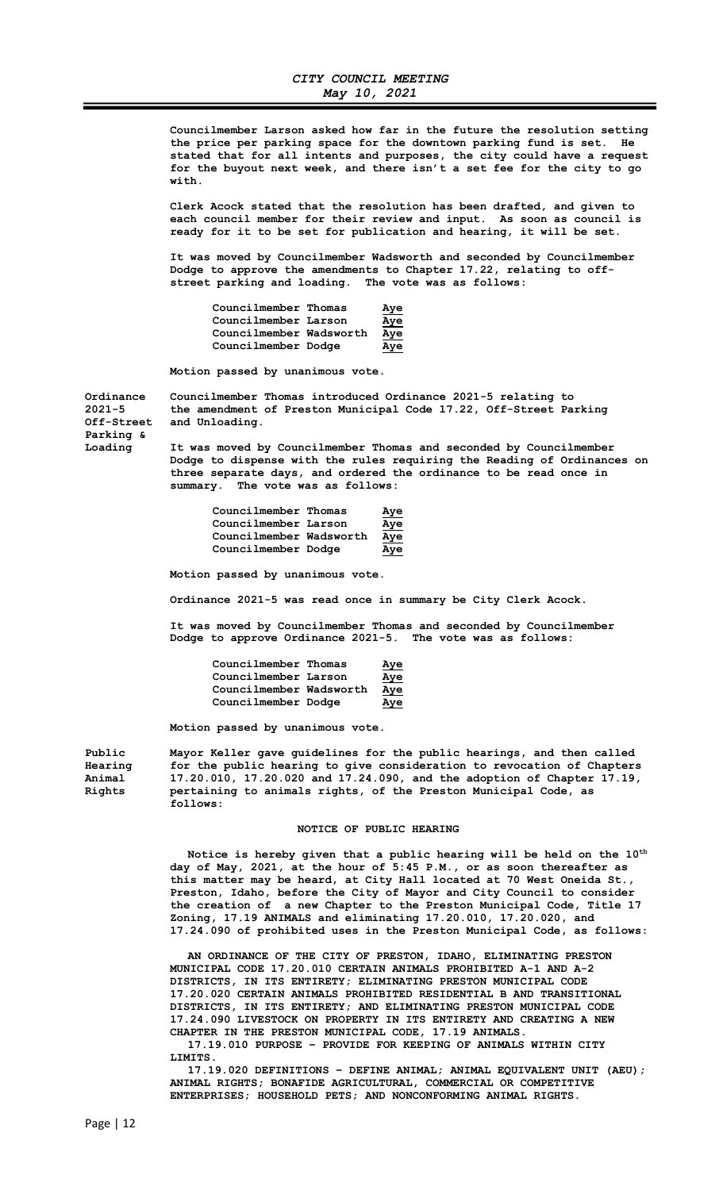Councilmember Larson asked how far in the future the resolution setting the price per parking space for the downtown parking fund is set. He stated that for all intents and purposes, the city could have a request for the buyout next week, and there isn't a set fee for the city to go with.

 Clerk Acock stated that the resolution has been drafted, and given to each council member for their review and input. As soon as council is ready for it to be set for publication and hearing, it will be set.

 It was moved by Councilmember Wadsworth and seconded by Councilmember Dodge to approve the amendments to Chapter 17.22, relating to offstreet parking and loading. The vote was as follows:

| Councilmember Thomas    | <u>Aye</u> |
|-------------------------|------------|
| Councilmember Larson    | <u>Aye</u> |
| Councilmember Wadsworth | <u>Aye</u> |
| Councilmember Dodge     | Aye        |

Motion passed by unanimous vote.

Parking &

Ordinance Councilmember Thomas introduced Ordinance 2021-5 relating to 2021-5 the amendment of Preston Municipal Code 17.22, Off-Street Party the amendment of Preston Municipal Code 17.22, Off-Street Parking Off-Street and Unloading.

Loading It was moved by Councilmember Thomas and seconded by Councilmember Dodge to dispense with the rules requiring the Reading of Ordinances on three separate days, and ordered the ordinance to be read once in summary. The vote was as follows:

| Councilmember Thomas    | <u>Aye</u> |
|-------------------------|------------|
| Councilmember Larson    | <u>Aye</u> |
| Councilmember Wadsworth | <u>Aye</u> |
| Councilmember Dodge     | Aye        |

Motion passed by unanimous vote.

Ordinance 2021-5 was read once in summary be City Clerk Acock.

 It was moved by Councilmember Thomas and seconded by Councilmember Dodge to approve Ordinance 2021-5. The vote was as follows:

| Councilmember Thomas    | <u>Aye</u> |
|-------------------------|------------|
| Councilmember Larson    | <u>Aye</u> |
| Councilmember Wadsworth | Aye        |
| Councilmember Dodge     | Aye        |

Motion passed by unanimous vote.

Public Mayor Keller gave guidelines for the public hearings, and then called Hearing for the public hearing to give consideration to revocation of Chapters Animal 17.20.010, 17.20.020 and 17.24.090, and the adoption of Chapter 17.19, Rights pertaining to animals rights, of the Preston Municipal Code, as follows:

#### NOTICE OF PUBLIC HEARING

Notice is hereby given that a public hearing will be held on the  $10^{\text{th}}$ day of May, 2021, at the hour of 5:45 P.M., or as soon thereafter as this matter may be heard, at City Hall located at 70 West Oneida St., Preston, Idaho, before the City of Mayor and City Council to consider the creation of a new Chapter to the Preston Municipal Code, Title 17 Zoning, 17.19 ANIMALS and eliminating 17.20.010, 17.20.020, and 17.24.090 of prohibited uses in the Preston Municipal Code, as follows:

 AN ORDINANCE OF THE CITY OF PRESTON, IDAHO, ELIMINATING PRESTON MUNICIPAL CODE 17.20.010 CERTAIN ANIMALS PROHIBITED A-1 AND A-2 DISTRICTS, IN ITS ENTIRETY; ELIMINATING PRESTON MUNICIPAL CODE 17.20.020 CERTAIN ANIMALS PROHIBITED RESIDENTIAL B AND TRANSITIONAL DISTRICTS, IN ITS ENTIRETY; AND ELIMINATING PRESTON MUNICIPAL CODE 17.24.090 LIVESTOCK ON PROPERTY IN ITS ENTIRETY AND CREATING A NEW CHAPTER IN THE PRESTON MUNICIPAL CODE, 17.19 ANIMALS.

 17.19.010 PURPOSE – PROVIDE FOR KEEPING OF ANIMALS WITHIN CITY LIMITS.

 17.19.020 DEFINITIONS – DEFINE ANIMAL; ANIMAL EQUIVALENT UNIT (AEU); ANIMAL RIGHTS; BONAFIDE AGRICULTURAL, COMMERCIAL OR COMPETITIVE ENTERPRISES; HOUSEHOLD PETS; AND NONCONFORMING ANIMAL RIGHTS.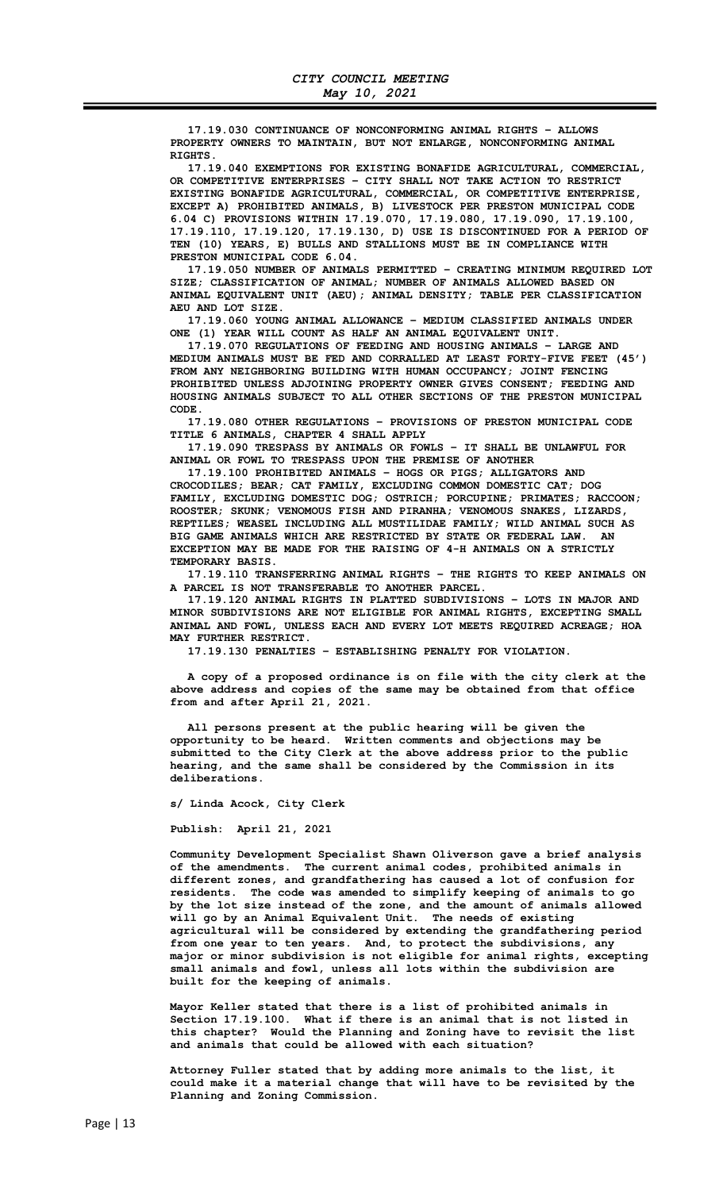17.19.030 CONTINUANCE OF NONCONFORMING ANIMAL RIGHTS – ALLOWS PROPERTY OWNERS TO MAINTAIN, BUT NOT ENLARGE, NONCONFORMING ANIMAL RIGHTS.

 17.19.040 EXEMPTIONS FOR EXISTING BONAFIDE AGRICULTURAL, COMMERCIAL, OR COMPETITIVE ENTERPRISES – CITY SHALL NOT TAKE ACTION TO RESTRICT EXISTING BONAFIDE AGRICULTURAL, COMMERCIAL, OR COMPETITIVE ENTERPRISE, EXCEPT A) PROHIBITED ANIMALS, B) LIVESTOCK PER PRESTON MUNICIPAL CODE 6.04 C) PROVISIONS WITHIN 17.19.070, 17.19.080, 17.19.090, 17.19.100, 17.19.110, 17.19.120, 17.19.130, D) USE IS DISCONTINUED FOR A PERIOD OF TEN (10) YEARS, E) BULLS AND STALLIONS MUST BE IN COMPLIANCE WITH PRESTON MUNICIPAL CODE 6.04.

 17.19.050 NUMBER OF ANIMALS PERMITTED – CREATING MINIMUM REQUIRED LOT SIZE; CLASSIFICATION OF ANIMAL; NUMBER OF ANIMALS ALLOWED BASED ON ANIMAL EQUIVALENT UNIT (AEU); ANIMAL DENSITY; TABLE PER CLASSIFICATION AEU AND LOT SIZE.

 17.19.060 YOUNG ANIMAL ALLOWANCE – MEDIUM CLASSIFIED ANIMALS UNDER ONE (1) YEAR WILL COUNT AS HALF AN ANIMAL EQUIVALENT UNIT.

 17.19.070 REGULATIONS OF FEEDING AND HOUSING ANIMALS – LARGE AND MEDIUM ANIMALS MUST BE FED AND CORRALLED AT LEAST FORTY-FIVE FEET (45') FROM ANY NEIGHBORING BUILDING WITH HUMAN OCCUPANCY; JOINT FENCING PROHIBITED UNLESS ADJOINING PROPERTY OWNER GIVES CONSENT; FEEDING AND HOUSING ANIMALS SUBJECT TO ALL OTHER SECTIONS OF THE PRESTON MUNICIPAL CODE.

 17.19.080 OTHER REGULATIONS – PROVISIONS OF PRESTON MUNICIPAL CODE TITLE 6 ANIMALS, CHAPTER 4 SHALL APPLY

 17.19.090 TRESPASS BY ANIMALS OR FOWLS – IT SHALL BE UNLAWFUL FOR ANIMAL OR FOWL TO TRESPASS UPON THE PREMISE OF ANOTHER

 17.19.100 PROHIBITED ANIMALS – HOGS OR PIGS; ALLIGATORS AND CROCODILES; BEAR; CAT FAMILY, EXCLUDING COMMON DOMESTIC CAT; DOG FAMILY, EXCLUDING DOMESTIC DOG; OSTRICH; PORCUPINE; PRIMATES; RACCOON; ROOSTER; SKUNK; VENOMOUS FISH AND PIRANHA; VENOMOUS SNAKES, LIZARDS, REPTILES; WEASEL INCLUDING ALL MUSTILIDAE FAMILY; WILD ANIMAL SUCH AS BIG GAME ANIMALS WHICH ARE RESTRICTED BY STATE OR FEDERAL LAW. AN EXCEPTION MAY BE MADE FOR THE RAISING OF 4-H ANIMALS ON A STRICTLY TEMPORARY BASIS.

 17.19.110 TRANSFERRING ANIMAL RIGHTS – THE RIGHTS TO KEEP ANIMALS ON A PARCEL IS NOT TRANSFERABLE TO ANOTHER PARCEL.

 17.19.120 ANIMAL RIGHTS IN PLATTED SUBDIVISIONS – LOTS IN MAJOR AND MINOR SUBDIVISIONS ARE NOT ELIGIBLE FOR ANIMAL RIGHTS, EXCEPTING SMALL ANIMAL AND FOWL, UNLESS EACH AND EVERY LOT MEETS REQUIRED ACREAGE; HOA MAY FURTHER RESTRICT.

17.19.130 PENALTIES – ESTABLISHING PENALTY FOR VIOLATION.

 A copy of a proposed ordinance is on file with the city clerk at the above address and copies of the same may be obtained from that office from and after April 21, 2021.

 All persons present at the public hearing will be given the opportunity to be heard. Written comments and objections may be submitted to the City Clerk at the above address prior to the public hearing, and the same shall be considered by the Commission in its deliberations.

s/ Linda Acock, City Clerk

Publish: April 21, 2021

 Community Development Specialist Shawn Oliverson gave a brief analysis of the amendments. The current animal codes, prohibited animals in different zones, and grandfathering has caused a lot of confusion for residents. The code was amended to simplify keeping of animals to go by the lot size instead of the zone, and the amount of animals allowed will go by an Animal Equivalent Unit. The needs of existing agricultural will be considered by extending the grandfathering period from one year to ten years. And, to protect the subdivisions, any major or minor subdivision is not eligible for animal rights, excepting small animals and fowl, unless all lots within the subdivision are built for the keeping of animals.

 Mayor Keller stated that there is a list of prohibited animals in Section 17.19.100. What if there is an animal that is not listed in this chapter? Would the Planning and Zoning have to revisit the list and animals that could be allowed with each situation?

 Attorney Fuller stated that by adding more animals to the list, it could make it a material change that will have to be revisited by the Planning and Zoning Commission.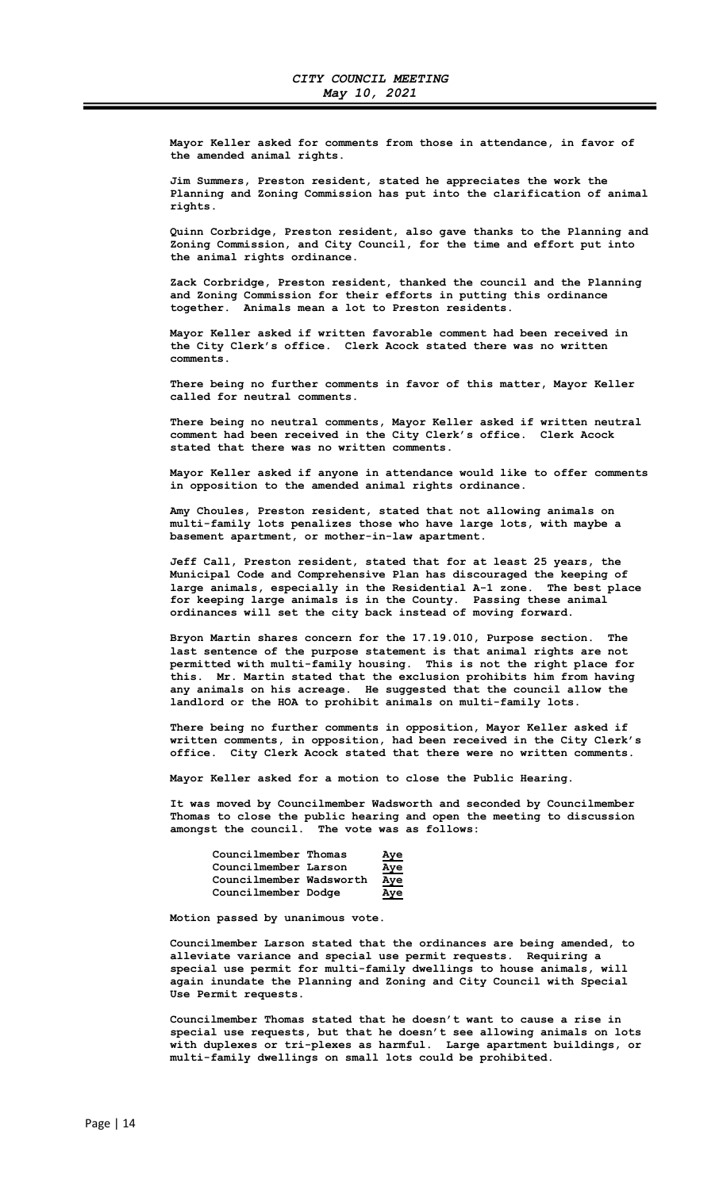Mayor Keller asked for comments from those in attendance, in favor of the amended animal rights.

 Jim Summers, Preston resident, stated he appreciates the work the Planning and Zoning Commission has put into the clarification of animal rights.

 Quinn Corbridge, Preston resident, also gave thanks to the Planning and Zoning Commission, and City Council, for the time and effort put into the animal rights ordinance.

 Zack Corbridge, Preston resident, thanked the council and the Planning and Zoning Commission for their efforts in putting this ordinance together. Animals mean a lot to Preston residents.

 Mayor Keller asked if written favorable comment had been received in the City Clerk's office. Clerk Acock stated there was no written comments.

 There being no further comments in favor of this matter, Mayor Keller called for neutral comments.

 There being no neutral comments, Mayor Keller asked if written neutral comment had been received in the City Clerk's office. Clerk Acock stated that there was no written comments.

 Mayor Keller asked if anyone in attendance would like to offer comments in opposition to the amended animal rights ordinance.

 Amy Choules, Preston resident, stated that not allowing animals on multi-family lots penalizes those who have large lots, with maybe a basement apartment, or mother-in-law apartment.

 Jeff Call, Preston resident, stated that for at least 25 years, the Municipal Code and Comprehensive Plan has discouraged the keeping of large animals, especially in the Residential A-1 zone. The best place for keeping large animals is in the County. Passing these animal ordinances will set the city back instead of moving forward.

 Bryon Martin shares concern for the 17.19.010, Purpose section. The last sentence of the purpose statement is that animal rights are not permitted with multi-family housing. This is not the right place for this. Mr. Martin stated that the exclusion prohibits him from having any animals on his acreage. He suggested that the council allow the landlord or the HOA to prohibit animals on multi-family lots.

 There being no further comments in opposition, Mayor Keller asked if written comments, in opposition, had been received in the City Clerk's office. City Clerk Acock stated that there were no written comments.

Mayor Keller asked for a motion to close the Public Hearing.

 It was moved by Councilmember Wadsworth and seconded by Councilmember Thomas to close the public hearing and open the meeting to discussion amongst the council. The vote was as follows:

| Councilmember Thomas    | <u>Aye</u> |
|-------------------------|------------|
| Councilmember Larson    | <u>Aye</u> |
| Councilmember Wadsworth | <u>Aye</u> |
| Councilmember Dodge     | Aye        |

Motion passed by unanimous vote.

 Councilmember Larson stated that the ordinances are being amended, to alleviate variance and special use permit requests. Requiring a special use permit for multi-family dwellings to house animals, will again inundate the Planning and Zoning and City Council with Special Use Permit requests.

 Councilmember Thomas stated that he doesn't want to cause a rise in special use requests, but that he doesn't see allowing animals on lots with duplexes or tri-plexes as harmful. Large apartment buildings, or multi-family dwellings on small lots could be prohibited.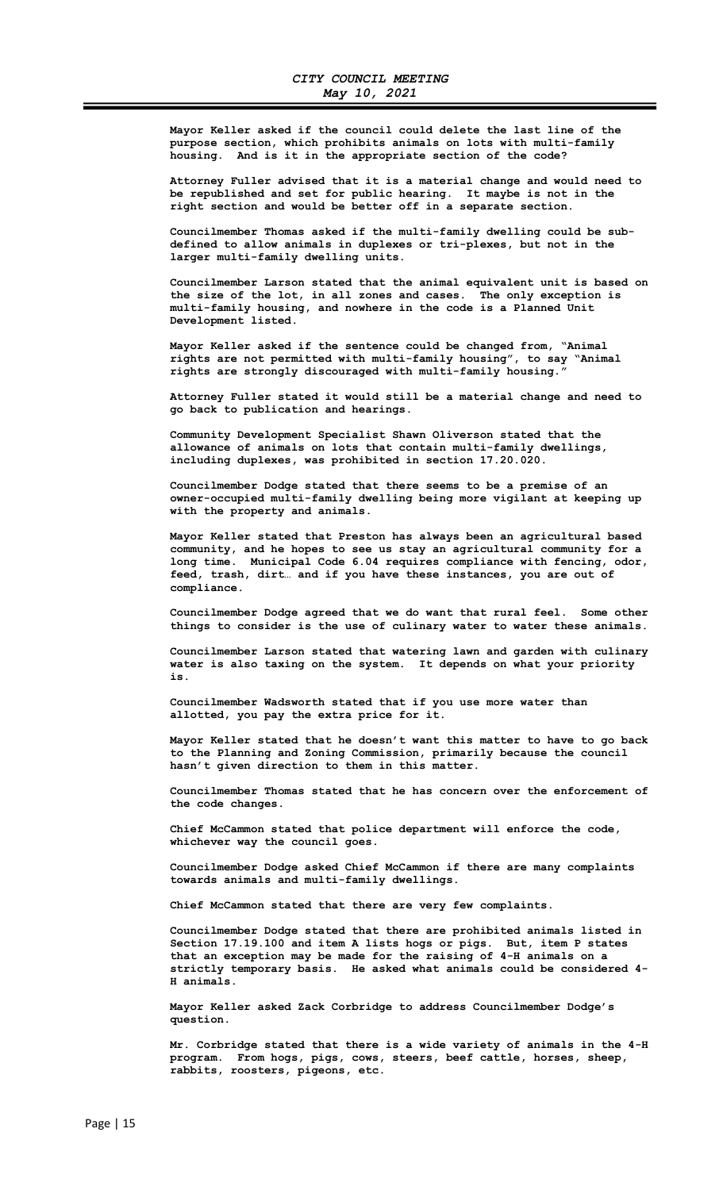Mayor Keller asked if the council could delete the last line of the purpose section, which prohibits animals on lots with multi-family housing. And is it in the appropriate section of the code?

 Attorney Fuller advised that it is a material change and would need to be republished and set for public hearing. It maybe is not in the right section and would be better off in a separate section.

 Councilmember Thomas asked if the multi-family dwelling could be subdefined to allow animals in duplexes or tri-plexes, but not in the larger multi-family dwelling units.

 Councilmember Larson stated that the animal equivalent unit is based on the size of the lot, in all zones and cases. The only exception is multi-family housing, and nowhere in the code is a Planned Unit Development listed.

 Mayor Keller asked if the sentence could be changed from, "Animal rights are not permitted with multi-family housing", to say "Animal rights are strongly discouraged with multi-family housing."

 Attorney Fuller stated it would still be a material change and need to go back to publication and hearings.

 Community Development Specialist Shawn Oliverson stated that the allowance of animals on lots that contain multi-family dwellings, including duplexes, was prohibited in section 17.20.020.

 Councilmember Dodge stated that there seems to be a premise of an owner-occupied multi-family dwelling being more vigilant at keeping up with the property and animals.

 Mayor Keller stated that Preston has always been an agricultural based community, and he hopes to see us stay an agricultural community for a long time. Municipal Code 6.04 requires compliance with fencing, odor, feed, trash, dirt… and if you have these instances, you are out of compliance.

 Councilmember Dodge agreed that we do want that rural feel. Some other things to consider is the use of culinary water to water these animals.

 Councilmember Larson stated that watering lawn and garden with culinary water is also taxing on the system. It depends on what your priority is.

 Councilmember Wadsworth stated that if you use more water than allotted, you pay the extra price for it.

 Mayor Keller stated that he doesn't want this matter to have to go back to the Planning and Zoning Commission, primarily because the council hasn't given direction to them in this matter.

 Councilmember Thomas stated that he has concern over the enforcement of the code changes.

 Chief McCammon stated that police department will enforce the code, whichever way the council goes.

 Councilmember Dodge asked Chief McCammon if there are many complaints towards animals and multi-family dwellings.

Chief McCammon stated that there are very few complaints.

 Councilmember Dodge stated that there are prohibited animals listed in Section 17.19.100 and item A lists hogs or pigs. But, item P states that an exception may be made for the raising of 4-H animals on a strictly temporary basis. He asked what animals could be considered 4- H animals.

 Mayor Keller asked Zack Corbridge to address Councilmember Dodge's question.

 Mr. Corbridge stated that there is a wide variety of animals in the 4-H program. From hogs, pigs, cows, steers, beef cattle, horses, sheep, rabbits, roosters, pigeons, etc.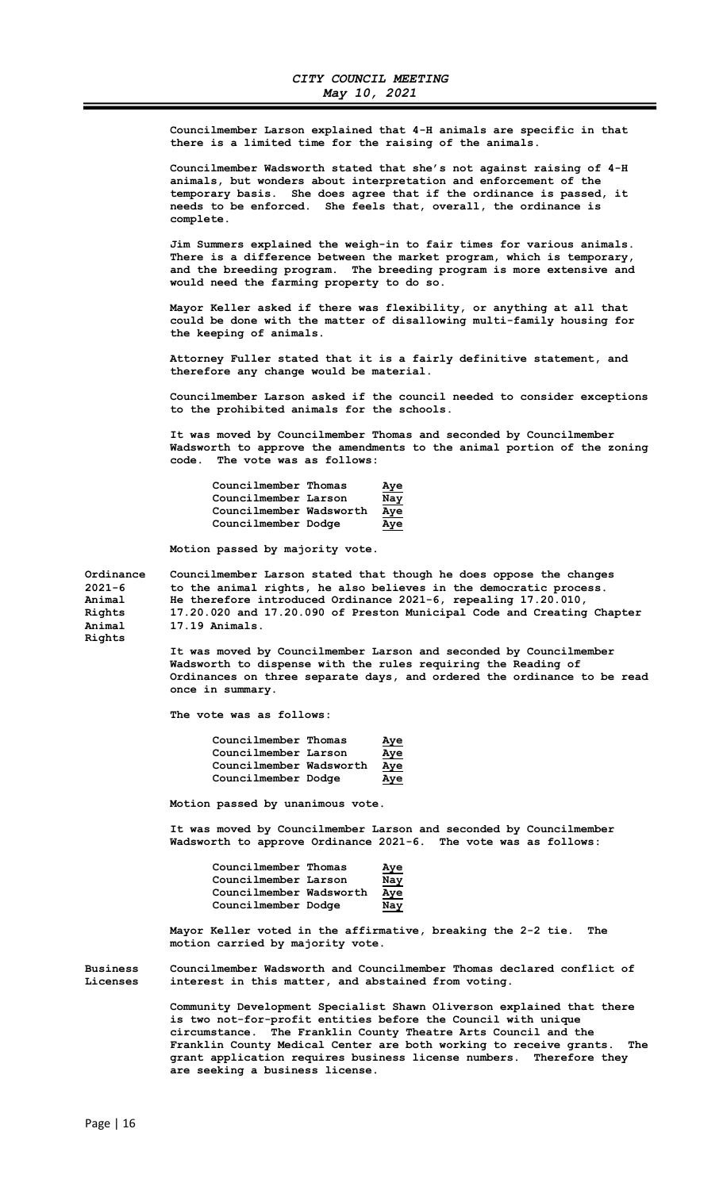Councilmember Larson explained that 4-H animals are specific in that there is a limited time for the raising of the animals.

 Councilmember Wadsworth stated that she's not against raising of 4-H animals, but wonders about interpretation and enforcement of the temporary basis. She does agree that if the ordinance is passed, it needs to be enforced. She feels that, overall, the ordinance is complete.

 Jim Summers explained the weigh-in to fair times for various animals. There is a difference between the market program, which is temporary, and the breeding program. The breeding program is more extensive and would need the farming property to do so.

 Mayor Keller asked if there was flexibility, or anything at all that could be done with the matter of disallowing multi-family housing for the keeping of animals.

 Attorney Fuller stated that it is a fairly definitive statement, and therefore any change would be material.

 Councilmember Larson asked if the council needed to consider exceptions to the prohibited animals for the schools.

 It was moved by Councilmember Thomas and seconded by Councilmember Wadsworth to approve the amendments to the animal portion of the zoning code. The vote was as follows:

| Councilmember Thomas    | <u>Aye</u> |
|-------------------------|------------|
| Councilmember Larson    | Nay        |
| Councilmember Wadsworth | Aye        |
| Councilmember Dodge     | <u>Aye</u> |

Motion passed by majority vote.

Ordinance Councilmember Larson stated that though he does oppose the changes<br>2021-6 to the animal rights, he also believes in the democratic process. to the animal rights, he also believes in the democratic process. Animal He therefore introduced Ordinance 2021-6, repealing 17.20.010, Rights 17.20.020 and 17.20.090 of Preston Municipal Code and Creating Chapter Animal 17.19 Animals. Rights

> It was moved by Councilmember Larson and seconded by Councilmember Wadsworth to dispense with the rules requiring the Reading of Ordinances on three separate days, and ordered the ordinance to be read once in summary.

The vote was as follows:

| Councilmember Thomas    | <u>Aye</u> |
|-------------------------|------------|
| Councilmember Larson    | <u>Aye</u> |
| Councilmember Wadsworth | <u>Aye</u> |
| Councilmember Dodge     | Aye        |

Motion passed by unanimous vote.

 It was moved by Councilmember Larson and seconded by Councilmember Wadsworth to approve Ordinance 2021-6. The vote was as follows:

| Councilmember Thomas    | <u>Aye</u> |
|-------------------------|------------|
| Councilmember Larson    | Nay        |
| Councilmember Wadsworth | <u>Aye</u> |
| Councilmember Dodge     | Nay        |

 Mayor Keller voted in the affirmative, breaking the 2-2 tie. The motion carried by majority vote.

Business Councilmember Wadsworth and Councilmember Thomas declared conflict of Licenses interest in this matter, and abstained from voting.

> Community Development Specialist Shawn Oliverson explained that there is two not-for-profit entities before the Council with unique circumstance. The Franklin County Theatre Arts Council and the Franklin County Medical Center are both working to receive grants. The grant application requires business license numbers. Therefore they are seeking a business license.